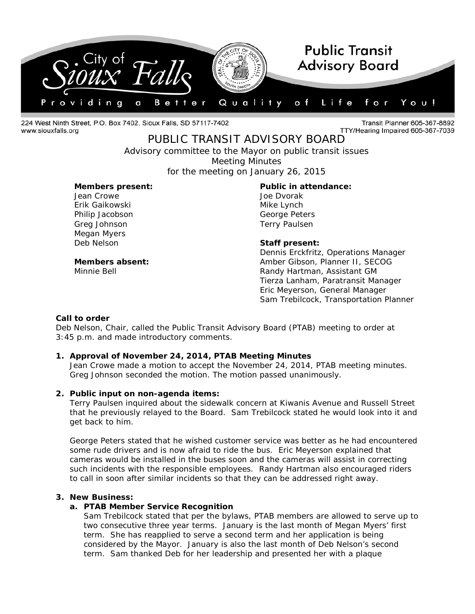

224 West Ninth Street, P.O. Box 7402, Sioux Falls, SD 57117-7402 www.siouxfalls.org

Transit Planner 605-367-8892 TTY/Hearing Impaired 605-367-7039

PUBLIC TRANSIT ADVISORY BOARD *Advisory committee to the Mayor on public transit issues*

Meeting Minutes

for the meeting on January 26, 2015

### **Members present: Public in attendance:**

Jean Crowe Joe Dvorak Erik Gaikowski Mike Lynch Philip Jacobson George Peters Greg Johnson **Terry Paulsen** Megan Myers<br>Deb Nelson

**Staff present:** 

Dennis Erckfritz, Operations Manager **Members absent:** Amber Gibson, Planner II, SECOG Minnie Bell Randy Hartman, Assistant GM Tierza Lanham, Paratransit Manager Eric Meyerson, General Manager Sam Trebilcock, Transportation Planner

### **Call to order**

Deb Nelson, Chair, called the Public Transit Advisory Board (PTAB) meeting to order at 3:45 p.m. and made introductory comments.

### **1. Approval of November 24, 2014, PTAB Meeting Minutes**

Jean Crowe made a motion to accept the November 24, 2014, PTAB meeting minutes. Greg Johnson seconded the motion. The motion passed unanimously.

### **2. Public input on non-agenda items:**

Terry Paulsen inquired about the sidewalk concern at Kiwanis Avenue and Russell Street that he previously relayed to the Board. Sam Trebilcock stated he would look into it and get back to him.

George Peters stated that he wished customer service was better as he had encountered some rude drivers and is now afraid to ride the bus. Eric Meyerson explained that cameras would be installed in the buses soon and the cameras will assist in correcting such incidents with the responsible employees. Randy Hartman also encouraged riders to call in soon after similar incidents so that they can be addressed right away.

### **3. New Business:**

### **a. PTAB Member Service Recognition**

Sam Trebilcock stated that per the bylaws, PTAB members are allowed to serve up to two consecutive three year terms. January is the last month of Megan Myers' first term. She has reapplied to serve a second term and her application is being considered by the Mayor. January is also the last month of Deb Nelson's second term. Sam thanked Deb for her leadership and presented her with a plaque